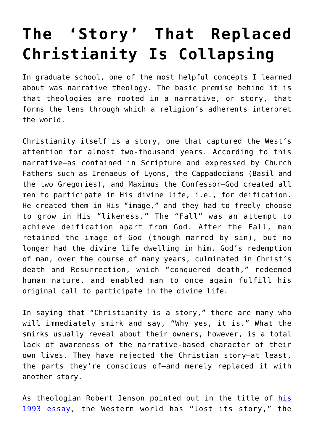## **[The 'Story' That Replaced](https://intellectualtakeout.org/2018/04/the-story-that-replaced-christianity-is-collapsing/) [Christianity Is Collapsing](https://intellectualtakeout.org/2018/04/the-story-that-replaced-christianity-is-collapsing/)**

In graduate school, one of the most helpful concepts I learned about was narrative theology. The basic premise behind it is that theologies are rooted in a narrative, or story, that forms the lens through which a religion's adherents interpret the world.

Christianity itself is a story, one that captured the West's attention for almost two-thousand years. According to this narrative—as contained in Scripture and expressed by Church Fathers such as Irenaeus of Lyons, the Cappadocians (Basil and the two Gregories), and Maximus the Confessor—God created all men to participate in His divine life, i.e., for deification. He created them in His "image," and they had to freely choose to grow in His "likeness." The "Fall" was an attempt to achieve deification apart from God. After the Fall, man retained the image of God (though marred by sin), but no longer had the divine life dwelling in him. God's redemption of man, over the course of many years, culminated in Christ's death and Resurrection, which "conquered death," redeemed human nature, and enabled man to once again fulfill his original call to participate in the divine life.

In saying that "Christianity is a story," there are many who will immediately smirk and say, "Why yes, it is." What the smirks usually reveal about their owners, however, is a total lack of awareness of the narrative-based character of their own lives. They have rejected the Christian story—at least, the parts they're conscious of—and merely replaced it with another story.

As theologian Robert Jenson pointed out in the title of [his](https://www.firstthings.com/article/1993/10/how-the-world-lost-its-story) [1993 essay](https://www.firstthings.com/article/1993/10/how-the-world-lost-its-story), the Western world has "lost its story," the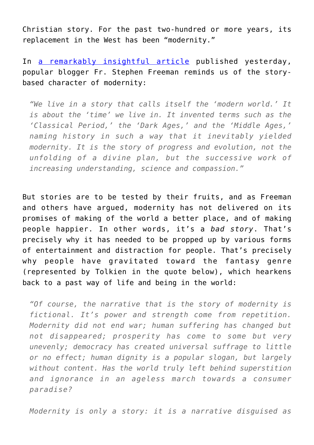Christian story. For the past two-hundred or more years, its replacement in the West has been "modernity."

In [a remarkably insightful article](https://blogs.ancientfaith.com/glory2godforallthings/2018/04/24/do-you-ever-think-about-being-a-hobbit/) published yesterday, popular blogger Fr. Stephen Freeman reminds us of the storybased character of modernity:

*"We live in a story that calls itself the 'modern world.' It is about the 'time' we live in. It invented terms such as the 'Classical Period,' the 'Dark Ages,' and the 'Middle Ages,' naming history in such a way that it inevitably yielded modernity. It is the story of progress and evolution, not the unfolding of a divine plan, but the successive work of increasing understanding, science and compassion."*

But stories are to be tested by their fruits, and as Freeman and others have argued, modernity has not delivered on its promises of making of the world a better place, and of making people happier. In other words, it's a *bad story*. That's precisely why it has needed to be propped up by various forms of entertainment and distraction for people. That's precisely why people have gravitated toward the fantasy genre (represented by Tolkien in the quote below), which hearkens back to a past way of life and being in the world:

*"Of course, the narrative that is the story of modernity is fictional. It's power and strength come from repetition. Modernity did not end war; human suffering has changed but not disappeared; prosperity has come to some but very unevenly; democracy has created universal suffrage to little or no effect; human dignity is a popular slogan, but largely without content. Has the world truly left behind superstition and ignorance in an ageless march towards a consumer paradise?*

*Modernity is only a story: it is a narrative disguised as*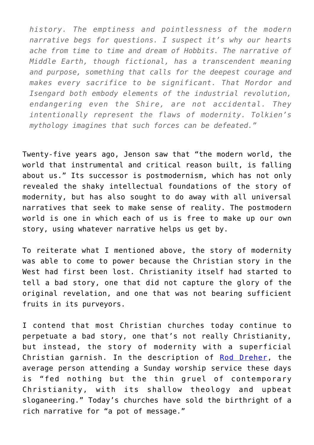*history. The emptiness and pointlessness of the modern narrative begs for questions. I suspect it's why our hearts ache from time to time and dream of Hobbits. The narrative of Middle Earth, though fictional, has a transcendent meaning and purpose, something that calls for the deepest courage and makes every sacrifice to be significant. That Mordor and Isengard both embody elements of the industrial revolution, endangering even the Shire, are not accidental. They intentionally represent the flaws of modernity. Tolkien's mythology imagines that such forces can be defeated."*

Twenty-five years ago, Jenson saw that "the modern world, the world that instrumental and critical reason built, is falling about us." Its successor is postmodernism, which has not only revealed the shaky intellectual foundations of the story of modernity, but has also sought to do away with all universal narratives that seek to make sense of reality. The postmodern world is one in which each of us is free to make up our own story, using whatever narrative helps us get by.

To reiterate what I mentioned above, the story of modernity was able to come to power because the Christian story in the West had first been lost. Christianity itself had started to tell a bad story, one that did not capture the glory of the original revelation, and one that was not bearing sufficient fruits in its purveyors.

I contend that most Christian churches today continue to perpetuate a bad story, one that's not really Christianity, but instead, the story of modernity with a superficial Christian garnish. In the description of [Rod Dreher](https://amzn.to/2FewfUQ), the average person attending a Sunday worship service these days is "fed nothing but the thin gruel of contemporary Christianity, with its shallow theology and upbeat sloganeering." Today's churches have sold the birthright of a rich narrative for "a pot of message."